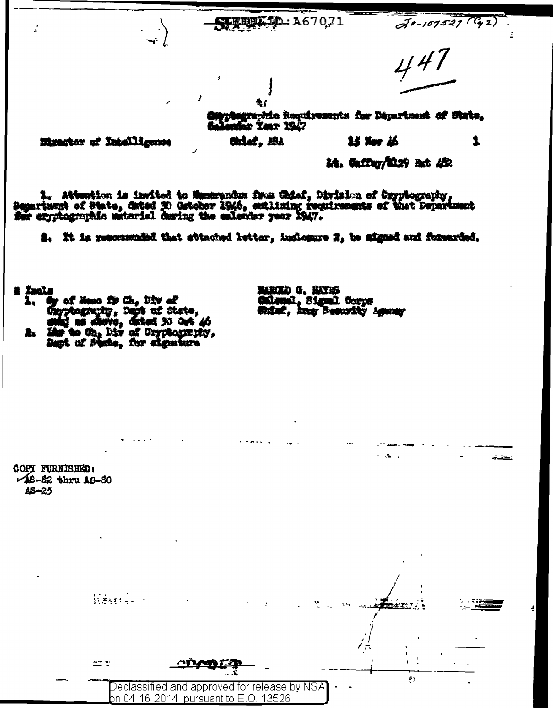**RIDE TO: A67071** 

 $30 - 107527$  (  $42$ )

1

447

hagraphie Requirements for Départment of State,<br>afar Year 1947

Minactor of Intelligence

14. Gaffey/2129 24. 182

15 Nov 16

1. Attention is invited to Museumium from Goinf, Dirision of Czyptography,<br>Department of State, dated 30 Geteber 1946, extliming requirements of that Department<br>See expriographic material during the exlendar year 2947.

2. It is resonanted that attached letter, inclosure 2, to signed and forearded.

Łŗ

Chief, ABA

**A** Incl.

by of Maso for Ch, Div of CapyAography, Days af State,<br>salaj as shows, dated 30 Oct 46

Like to Oh, Div of Gryphography,

NAROLO 0. HAYRG Galenal, Sigmal Corps Ghiaf, hay Nesurity Agency

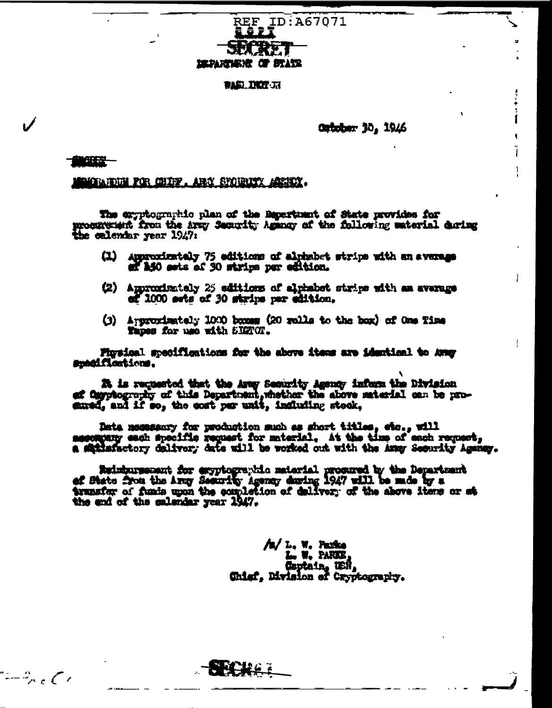

## **WASH DISTURE**

## **Cutober 30, 1946**

## **LEBEREN**

 $-2\epsilon$ 

GANDUN FOR CHIPY, ARM SYDURITY ACTION.

The exyptographic plan of the Bepartuant of State provides for procurement from the army Security Agency of the following material during

- (1) Approximately 75 editions of alphabet strips with an average of 150 ests of 30 strips per edition.
- (2) Approximately 25 editions of alphabet strips with an average ef 1000 sets of 30 strips per edition.
- (3) Approximately 1000 boxes (20 rolls to the box) of One Time Tapes for use with SIGNOT.

Firsical specifications for the above items are identical to Avey smadfloations.

24 is requested that the Aray Security Agency inform the Division af Cayptography of this Department, whether the above material can be prosured, and if so, the cost per unit, including steek,

Data negassary for production such as short titles, etc., will messagery each specific request for material. At the time of each request, a satisfactory delivery date will be worked out with the Amay Security Agency.

Reinbursement for exyptographic meterial procured by the Department<br>of State from the Army Security Agency during 1947 will be made by a<br>transfer of funds upon the completion of delivery of the above items or st. the end of the calendar year 1947.

> /n/ L. W. Parke L. W. PARKE Gaptain, USR,<br>Chiaf, Division of Cryptography.